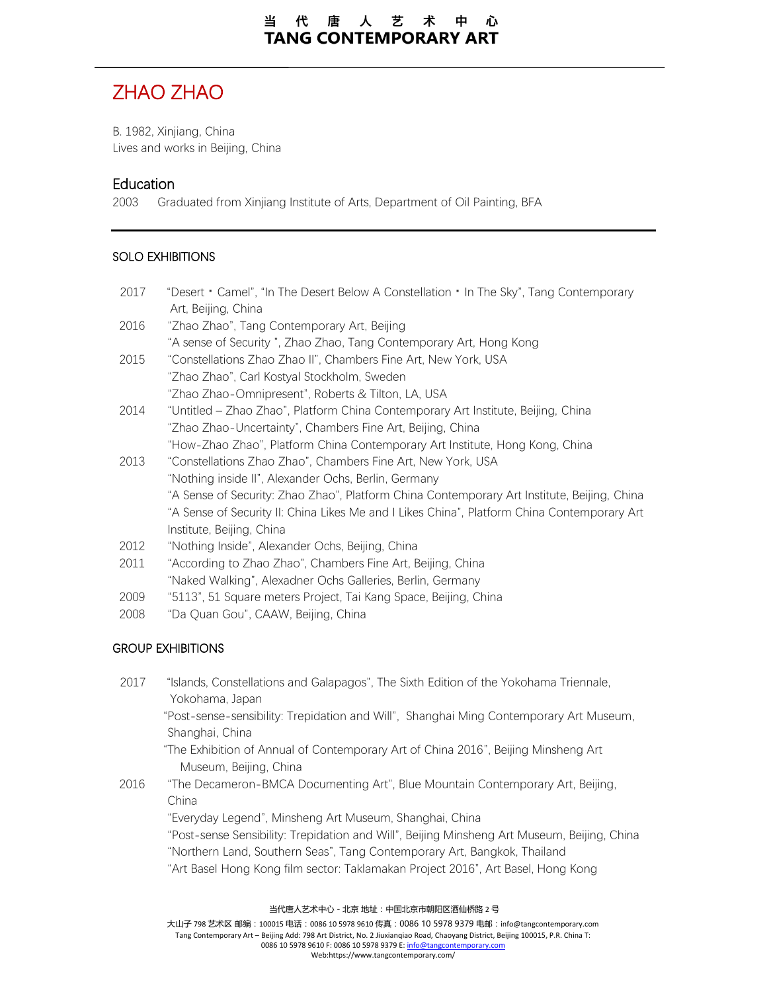# ZHAO ZHAO

B. 1982, Xinjiang, China Lives and works in Beijing, China

### **Education**

2003 Graduated from Xinjiang Institute of Arts, Department of Oil Painting, BFA

#### SOLO EXHIBITIONS

- 2017 "Desert **·**Camel", "In The Desert Below A Constellation **·**In The Sky", Tang Contemporary Art, Beijing, China
- 2016 "Zhao Zhao", Tang Contemporary Art, Beijing "A sense of Security ", Zhao Zhao, Tang Contemporary Art, Hong Kong
- 2015 "Constellations Zhao Zhao II", Chambers Fine Art, New York, USA "Zhao Zhao", Carl Kostyal Stockholm, Sweden "Zhao Zhao-Omnipresent", Roberts & Tilton, LA, USA
- 2014 "Untitled Zhao Zhao", Platform China Contemporary Art Institute, Beijing, China "Zhao Zhao-Uncertainty", Chambers Fine Art, Beijing, China "How-Zhao Zhao", Platform China Contemporary Art Institute, Hong Kong, China
- 2013 "Constellations Zhao Zhao", Chambers Fine Art, New York, USA "Nothing inside II", Alexander Ochs, Berlin, Germany "A Sense of Security: Zhao Zhao", Platform China Contemporary Art Institute, Beijing, China "A Sense of Security II: China Likes Me and I Likes China", Platform China Contemporary Art Institute, Beijing, China
- 2012 "Nothing Inside", Alexander Ochs, Beijing, China
- 2011 "According to Zhao Zhao", Chambers Fine Art, Beijing, China "Naked Walking", Alexadner Ochs Galleries, Berlin, Germany
- 2009 "5113", 51 Square meters Project, Tai Kang Space, Beijing, China
- 2008 "Da Quan Gou", CAAW, Beijing, China

#### GROUP EXHIBITIONS

2017 "Islands, Constellations and Galapagos", The Sixth Edition of the Yokohama Triennale, Yokohama, Japan

 "Post-sense-sensibility: Trepidation and Will", Shanghai Ming Contemporary Art Museum, Shanghai, China

- "The Exhibition of Annual of Contemporary Art of China 2016", Beijing Minsheng Art Museum, Beijing, China
- 2016 "The Decameron-BMCA Documenting Art", Blue Mountain Contemporary Art, Beijing, China

"Everyday Legend", Minsheng Art Museum, Shanghai, China

"Post-sense Sensibility: Trepidation and Will", Beijing Minsheng Art Museum, Beijing, China "Northern Land, Southern Seas", Tang Contemporary Art, Bangkok, Thailand "Art Basel Hong Kong film sector: Taklamakan Project 2016", Art Basel, Hong Kong

当代唐人艺术中心-北京 地址:中国北京市朝阳区酒仙桥路 2 号

大山子 798 艺术区 邮编:100015 电话:0086 10 5978 9610 传真:0086 10 5978 9379 电邮:info@tangcontemporary.com Tang Contemporary Art – Beijing Add: 798 Art District, No. 2 Jiuxianqiao Road, Chaoyang District, Beijing 100015, P.R. China T: 0086 10 5978 9610 F: 0086 10 5978 9379 E[: info@tangcontemporary.com](mailto:info@tangcontemporary.com) Web:https://www.tangcontemporary.com/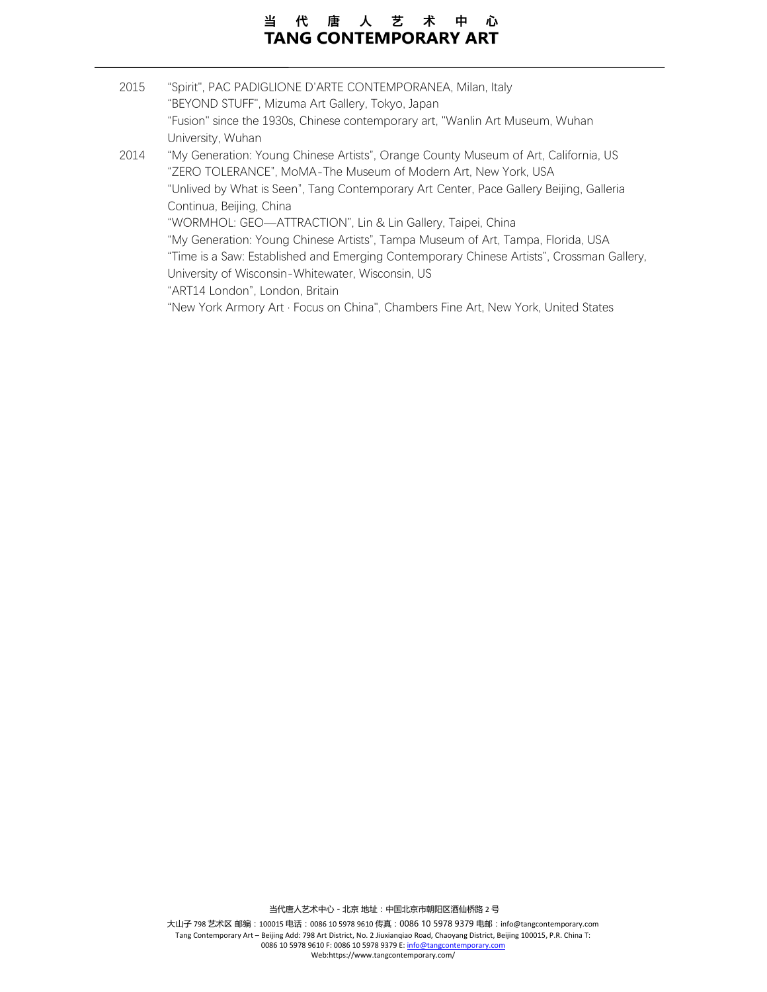#### 唐人艺术中心 当 代 **TANG CONTEMPORARY ART**

2015 "Spirit", PAC PADIGLIONE D'ARTE CONTEMPORANEA, Milan, Italy "BEYOND STUFF", Mizuma Art Gallery, Tokyo, Japan "Fusion" since the 1930s, Chinese contemporary art, "Wanlin Art Museum, Wuhan University, Wuhan 2014 "My Generation: Young Chinese Artists", Orange County Museum of Art, California, US "ZERO TOLERANCE", MoMA-The Museum of Modern Art, New York, USA "Unlived by What is Seen", Tang Contemporary Art Center, Pace Gallery Beijing, Galleria Continua, Beijing, China "WORMHOL: GEO—ATTRACTION", Lin & Lin Gallery, Taipei, China "My Generation: Young Chinese Artists", Tampa Museum of Art, Tampa, Florida, USA "Time is a Saw: Established and Emerging Contemporary Chinese Artists", Crossman Gallery, University of Wisconsin-Whitewater, Wisconsin, US "ART14 London", London, Britain "New York Armory Art · Focus on China", Chambers Fine Art, New York, United States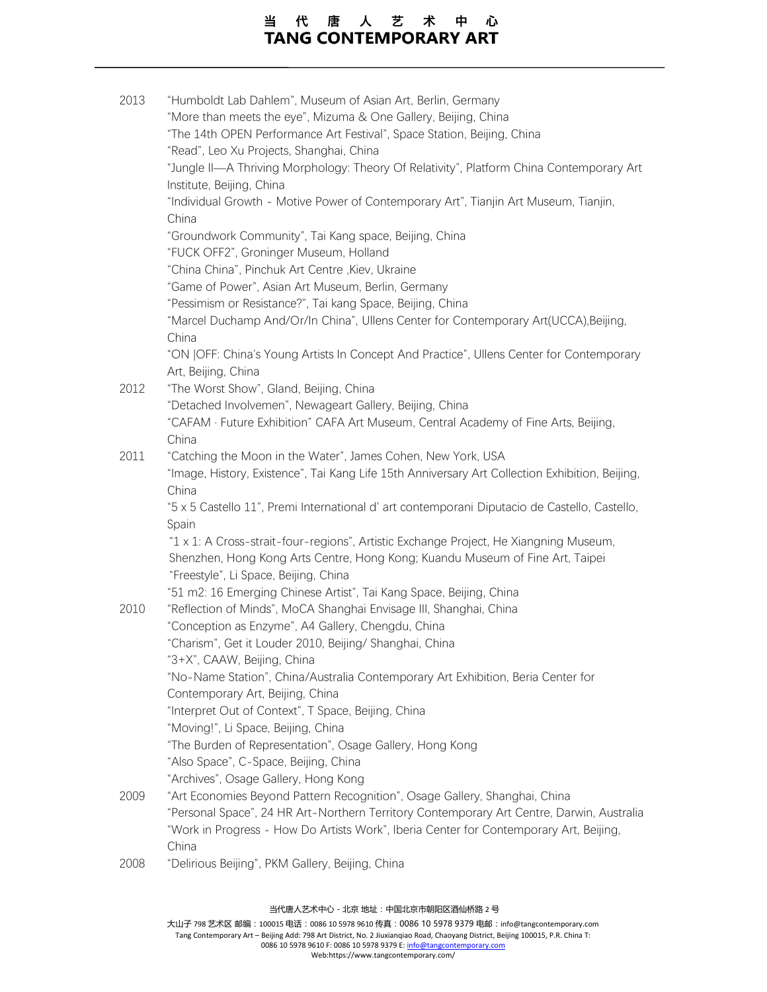## 当代唐人艺术中心 **TANG CONTEMPORARY ART**

| "Humboldt Lab Dahlem", Museum of Asian Art, Berlin, Germany                                     |
|-------------------------------------------------------------------------------------------------|
| "More than meets the eye", Mizuma & One Gallery, Beijing, China                                 |
| "The 14th OPEN Performance Art Festival", Space Station, Beijing, China                         |
| "Read", Leo Xu Projects, Shanghai, China                                                        |
| "Jungle II-A Thriving Morphology: Theory Of Relativity", Platform China Contemporary Art        |
| Institute, Beijing, China                                                                       |
| "Individual Growth - Motive Power of Contemporary Art", Tianjin Art Museum, Tianjin,            |
| China                                                                                           |
| "Groundwork Community", Tai Kang space, Beijing, China                                          |
| "FUCK OFF2", Groninger Museum, Holland                                                          |
| "China China", Pinchuk Art Centre , Kiev, Ukraine                                               |
| "Game of Power", Asian Art Museum, Berlin, Germany                                              |
| "Pessimism or Resistance?", Tai kang Space, Beijing, China                                      |
| "Marcel Duchamp And/Or/In China", Ullens Center for Contemporary Art(UCCA), Beijing,            |
| China                                                                                           |
| "ON JOFF: China's Young Artists In Concept And Practice", Ullens Center for Contemporary        |
| Art, Beijing, China<br>"The Worst Show", Gland, Beijing, China                                  |
| "Detached Involvemen", Newageart Gallery, Beijing, China                                        |
| "CAFAM · Future Exhibition" CAFA Art Museum, Central Academy of Fine Arts, Beijing,             |
| China                                                                                           |
| "Catching the Moon in the Water", James Cohen, New York, USA                                    |
| "Image, History, Existence", Tai Kang Life 15th Anniversary Art Collection Exhibition, Beijing, |
| China                                                                                           |
| "5 x 5 Castello 11", Premi International d' art contemporani Diputacio de Castello, Castello,   |
| Spain                                                                                           |
| "1 x 1: A Cross-strait-four-regions", Artistic Exchange Project, He Xiangning Museum,           |
| Shenzhen, Hong Kong Arts Centre, Hong Kong; Kuandu Museum of Fine Art, Taipei                   |
| "Freestyle", Li Space, Beijing, China                                                           |
| "51 m2: 16 Emerging Chinese Artist", Tai Kang Space, Beijing, China                             |
| "Reflection of Minds", MoCA Shanghai Envisage III, Shanghai, China                              |
| "Conception as Enzyme", A4 Gallery, Chengdu, China                                              |
| "Charism", Get it Louder 2010, Beijing/ Shanghai, China                                         |
| "3+X", CAAW, Beijing, China                                                                     |
| "No-Name Station", China/Australia Contemporary Art Exhibition, Beria Center for                |
| Contemporary Art, Beijing, China                                                                |
| "Interpret Out of Context", T Space, Beijing, China                                             |
| "Moving!", Li Space, Beijing, China                                                             |
| "The Burden of Representation", Osage Gallery, Hong Kong                                        |
| "Also Space", C-Space, Beijing, China                                                           |
| "Archives", Osage Gallery, Hong Kong                                                            |
| "Art Economies Beyond Pattern Recognition", Osage Gallery, Shanghai, China                      |
| "Personal Space", 24 HR Art-Northern Territory Contemporary Art Centre, Darwin, Australia       |
| "Work in Progress - How Do Artists Work", Iberia Center for Contemporary Art, Beijing,          |
| China<br>"Dolirious Rojijna" DKM Callon, Rojijna China                                          |
|                                                                                                 |

2008 "Delirious Beijing", PKM Gallery, Beijing, China